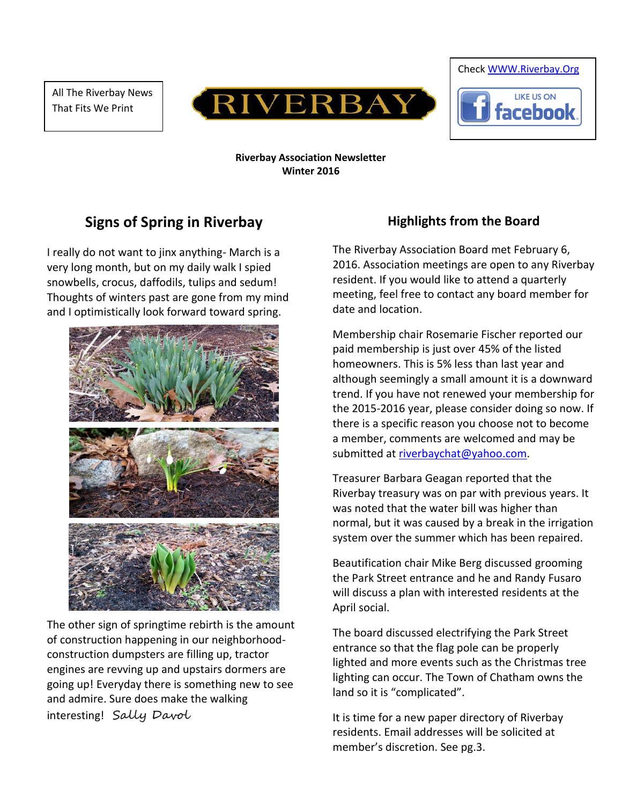All The Riverbay News That Fits We Print





#### **Riverbay Association Newsletter Winter 2016**

# **Signs of Spring in Riverbay**

I really do not want to jinx anything- March is a very long month, but on my daily walk I spied snowbells, crocus, daffodils, tulips and sedum! Thoughts of winters past are gone from my mind and I optimistically look forward toward spring.



The other sign of springtime rebirth is the amount of construction happening in our neighborhoodconstruction dumpsters are filling up, tractor engines are revving up and upstairs dormers are going up! Everyday there is something new to see and admire. Sure does make the walking interesting! Sally Davol

#### **Highlights from the Board**

The Riverbay Association Board met February 6, 2016. Association meetings are open to any Riverbay resident. If you would like to attend a quarterly meeting, feel free to contact any board member for date and location.

Membership chair Rosemarie Fischer reported our paid membership is just over 45% of the listed homeowners. This is 5% less than last year and although seemingly a small amount it is a downward trend. If you have not renewed your membership for the 2015-2016 year, please consider doing so now. If there is a specific reason you choose not to become a member, comments are welcomed and may be submitted at [riverbaychat@yahoo.com.](mailto:riverbaychat@yahoo.com)

Treasurer Barbara Geagan reported that the Riverbay treasury was on par with previous years. It was noted that the water bill was higher than normal, but it was caused by a break in the irrigation system over the summer which has been repaired.

Beautification chair Mike Berg discussed grooming the Park Street entrance and he and Randy Fusaro will discuss a plan with interested residents at the April social.

The board discussed electrifying the Park Street entrance so that the flag pole can be properly lighted and more events such as the Christmas tree lighting can occur. The Town of Chatham owns the land so it is "complicated".

It is time for a new paper directory of Riverbay residents. Email addresses will be solicited at member's discretion. See pg.3.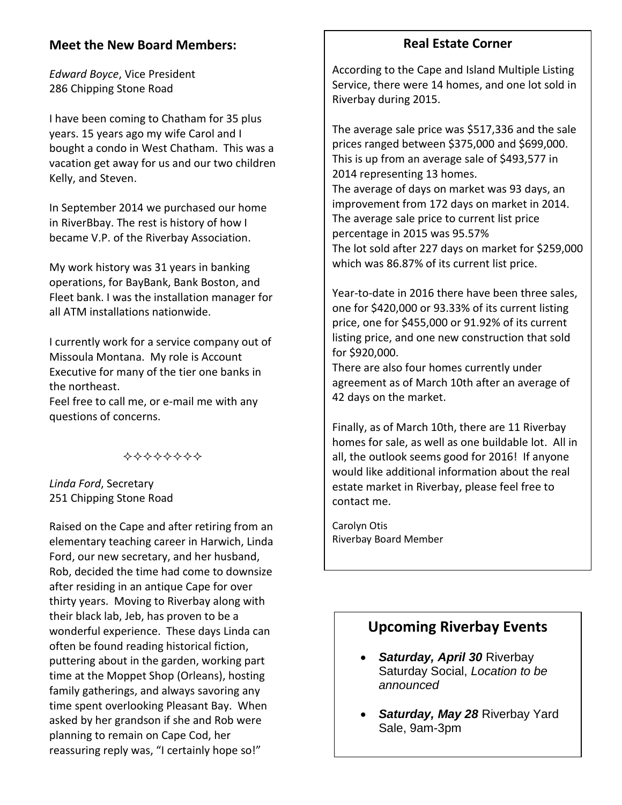### **Meet the New Board Members:**

*Edward Boyce*, Vice President 286 Chipping Stone Road

I have been coming to Chatham for 35 plus years. 15 years ago my wife Carol and I bought a condo in West Chatham. This was a vacation get away for us and our two children Kelly, and Steven.

In September 2014 we purchased our home in RiverBbay. The rest is history of how I became V.P. of the Riverbay Association.

My work history was 31 years in banking operations, for BayBank, Bank Boston, and Fleet bank. I was the installation manager for all ATM installations nationwide.

I currently work for a service company out of Missoula Montana. My role is Account Executive for many of the tier one banks in the northeast.

Feel free to call me, or e-mail me with any questions of concerns.

\*\*\*\*\*\*\*\*

*Linda Ford*, Secretary 251 Chipping Stone Road

Raised on the Cape and after retiring from an elementary teaching career in Harwich, Linda Ford, our new secretary, and her husband, Rob, decided the time had come to downsize after residing in an antique Cape for over thirty years. Moving to Riverbay along with their black lab, Jeb, has proven to be a wonderful experience. These days Linda can often be found reading historical fiction, puttering about in the garden, working part time at the Moppet Shop (Orleans), hosting family gatherings, and always savoring any time spent overlooking Pleasant Bay. When asked by her grandson if she and Rob were planning to remain on Cape Cod, her reassuring reply was, "I certainly hope so!"

### **Real Estate Corner**

According to the Cape and Island Multiple Listing Service, there were 14 homes, and one lot sold in Riverbay during 2015.

The average sale price was \$517,336 and the sale prices ranged between \$375,000 and \$699,000. This is up from an average sale of \$493,577 in 2014 representing 13 homes. The average of days on market was 93 days, an improvement from 172 days on market in 2014. The average sale price to current list price percentage in 2015 was 95.57% The lot sold after 227 days on market for \$259,000 which was 86.87% of its current list price.

Year-to-date in 2016 there have been three sales, one for \$420,000 or 93.33% of its current listing price, one for \$455,000 or 91.92% of its current listing price, and one new construction that sold for \$920,000.

There are also four homes currently under agreement as of March 10th after an average of 42 days on the market.

Finally, as of March 10th, there are 11 Riverbay homes for sale, as well as one buildable lot. All in all, the outlook seems good for 2016! If anyone would like additional information about the real estate market in Riverbay, please feel free to contact me.

Carolyn Otis Riverbay Board Member

### **Upcoming Riverbay Events**

- *Saturday, April 30* Riverbay Saturday Social, *Location to be announced*
- *Saturday, May 28* Riverbay Yard Sale, 9am-3pm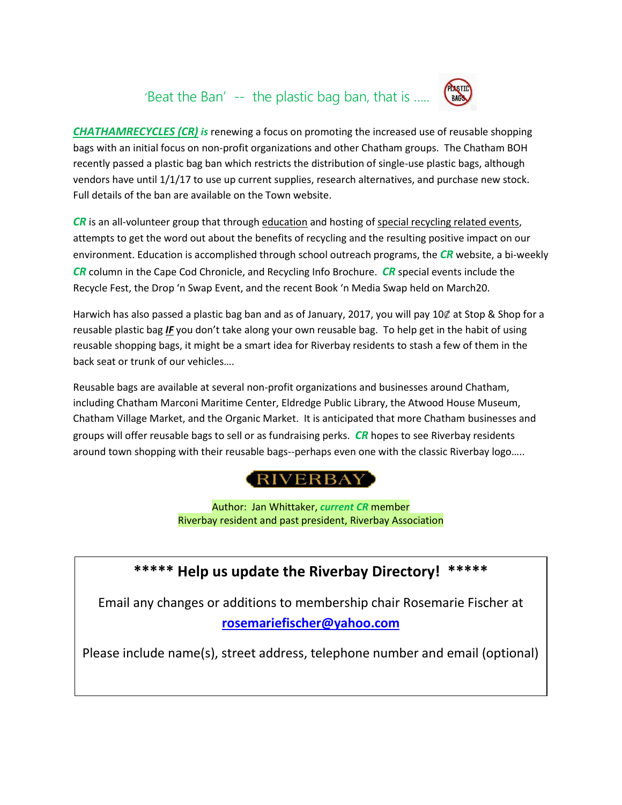# 'Beat the Ban' -- the plastic bag ban, that is …..



*CHATHAMRECYCLES (CR) is* renewing a focus on promoting the increased use of reusable shopping bags with an initial focus on non-profit organizations and other Chatham groups. The Chatham BOH recently passed a plastic bag ban which restricts the distribution of single-use plastic bags, although vendors have until 1/1/17 to use up current supplies, research alternatives, and purchase new stock. Full details of the ban are available on the Town website.

*CR* is an all-volunteer group that through education and hosting of special recycling related events, attempts to get the word out about the benefits of recycling and the resulting positive impact on our environment. Education is accomplished through school outreach programs, the *CR* website, a bi-weekly *CR* column in the Cape Cod Chronicle, and Recycling Info Brochure. *CR* special events include the Recycle Fest, the Drop 'n Swap Event, and the recent Book 'n Media Swap held on March20.

Harwich has also passed a plastic bag ban and as of January, 2017, you will pay 10 $\ell$  at Stop & Shop for a reusable plastic bag *IF* you don't take along your own reusable bag. To help get in the habit of using reusable shopping bags, it might be a smart idea for Riverbay residents to stash a few of them in the back seat or trunk of our vehicles….

Reusable bags are available at several non-profit organizations and businesses around Chatham, including Chatham Marconi Maritime Center, Eldredge Public Library, the Atwood House Museum, Chatham Village Market, and the Organic Market. It is anticipated that more Chatham businesses and groups will offer reusable bags to sell or as fundraising perks. *CR* hopes to see Riverbay residents around town shopping with their reusable bags--perhaps even one with the classic Riverbay logo.....



Author:Jan Whittaker, *current CR* member Riverbay resident and past president, Riverbay Association

## **\*\*\*\*\* Help us update the Riverbay Directory! \*\*\*\*\***

Email any changes or additions to membership chair Rosemarie Fischer at **[rosemariefischer@yahoo.com](mailto:rosemariefischer@yahoo.com)**

Please include name(s), street address, telephone number and email (optional)